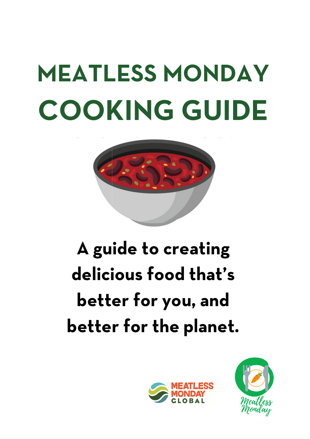# **MEATLESS MONDAY COOKING GUIDE**



# **A guide to creating delicious food that's better for you, and better for the planet.**



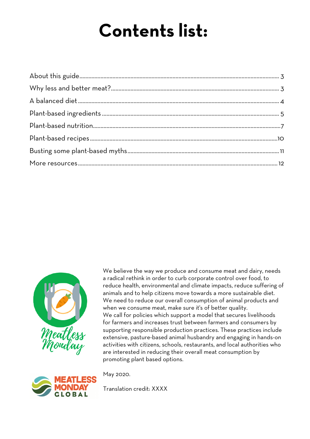# **Contents list:**



We believe the way we produce and consume meat and dairy, needs a radical rethink in order to curb corporate control over food, to reduce health, environmental and climate impacts, reduce suffering of animals and to help citizens move towards a more sustainable diet. We need to reduce our overall consumption of animal products and when we consume meat, make sure it's of better quality. We call for policies which support a model that secures livelihoods for farmers and increases trust between farmers and consumers by supporting responsible production practices. These practices include extensive, pasture pasture-based animal husbandry and engaging in hands based hands-on activities with citizens, schools, restaurants, and local authorities who are interested in reducing their overall meat consumption by promoting plant based options.



May 2020.

Translation credit: XXXX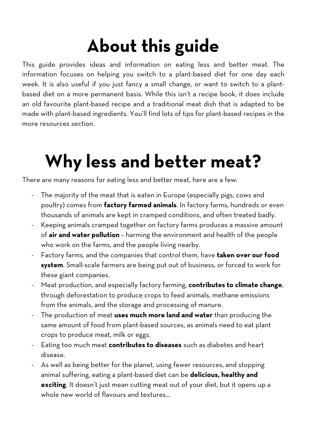# **About this guide**

This guide provides ideas and information on eating less and better meat. The information focuses on helping you switch to a plant-based diet for one day each week. It is also useful if you just fancy a small change, or want to switch to a plantbased diet on a more permanent basis. While this isn't a recipe book, it does include an old favourite plant-based recipe and a traditional meat dish that is adapted to be made with plant-based ingredients. You'll find lots of tips for plant-based recipes in the more resources section.

# **Why less and better meat?**

There are many reasons for eating less and better meat, here are a few:

- The majority of the meat that is eaten in Europe (especially pigs, cows and poultry) comes from **factory farmed animals**. In factory farms, hundreds or even thousands of animals are kept in cramped conditions, and often treated badly.
- Keeping animals cramped together on factory farms produces a massive amount of **air and water pollution** – harming the environment and health of the people who work on the farms, and the people living nearby.
- Factory farms, and the companies that control them, have **taken over our food system**. Small-scale farmers are being put out of business, or forced to work for these giant companies.
- Meat production, and especially factory farming, **contributes to climate change**, through deforestation to produce crops to feed animals, methane emissions from the animals, and the storage and processing of manure.
- The production of meat **uses much more land and water** than producing the same amount of food from plant-based sources, as animals need to eat plant crops to produce meat, milk or eggs.
- Eating too much meat **contributes to diseases** such as diabetes and heart disease.
- As well as being better for the planet, using fewer resources, and stopping animal suffering, eating a plant-based diet can be **delicious, healthy and exciting**. It doesn't just mean cutting meat out of your diet, but it opens up a whole new world of flavours and textures...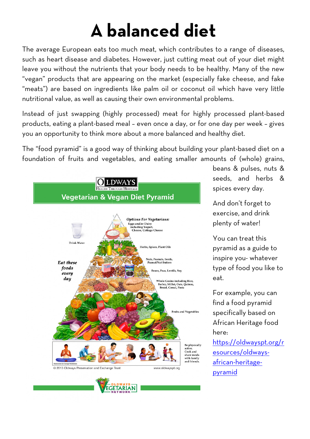# **A balanced diet**

The average European eats too much meat, which contributes to a range of diseases, such as heart disease and diabetes. However, just cutting meat out of your diet might leave you without the nutrients that your body needs to be healthy. Many of the new "vegan" products that are appearing on the market (especially fake cheese, and fake "meats") are based on ingredients like palm oil or coconut oil which have very little nutritional value, as well as causing their own environmental problems.

Instead of just swapping (highly processed) meat for highly processed plant-based products, eating a plant-based meal - even once a day, or for one day per week - gives you an opportunity to think more about a more balanced and healthy diet.

The "food pyramid" is a good way of thinking about building your plant-based diet on a foundation of fruits and vegetables, and eating smaller amounts of (whole) grains,



beans & pulses, nuts & seeds, and herbs & spices every day.

And don't forget to exercise, and drink plenty of water!

You can treat this pyramid as a guide to pyramid as a guide to<br>inspire you- whatever type of food you like to eat.

For example, y you can find a food pyramid specifically based on African Heritage food here:

https://oldwayspt.org/r esources/oldways esources/oldwaysafrican african-heritagepyramid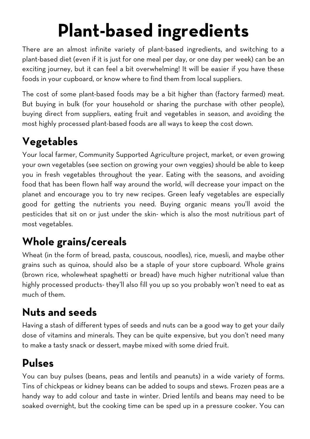# **Plant-based ingredients**

There are an almost infinite variety of plant-based ingredients, and switching to a plant-based diet (even if it is just for one meal per day, or one day per week) can be an exciting journey, but it can feel a bit overwhelming! It will be easier if you have these foods in your cupboard, or know where to find them from local suppliers.

The cost of some plant-based foods may be a bit higher than (factory farmed) meat. But buying in bulk (for your household or sharing the purchase with other people), buying direct from suppliers, eating fruit and vegetables in season, and avoiding the most highly processed plant-based foods are all ways to keep the cost down.

### **Vegetables**

Your local farmer, Community Supported Agriculture project, market, or even growing your own vegetables (see section on growing your own veggies) should be able to keep you in fresh vegetables throughout the year. Eating with the seasons, and avoiding food that has been flown half way around the world, will decrease your impact on the planet and encourage you to try new recipes. Green leafy vegetables are especially good for getting the nutrients you need. Buying organic means you'll avoid the pesticides that sit on or just under the skin- which is also the most nutritious part of most vegetables.

## **Whole grains/cereals**

Wheat (in the form of bread, pasta, couscous, noodles), rice, muesli, and maybe other grains such as quinoa, should also be a staple of your store cupboard. Whole grains (brown rice, wholewheat spaghetti or bread) have much higher nutritional value than highly processed products- they'll also fill you up so you probably won't need to eat as much of them.

### **Nuts and seeds**

Having a stash of different types of seeds and nuts can be a good way to get your daily dose of vitamins and minerals. They can be quite expensive, but you don't need many to make a tasty snack or dessert, maybe mixed with some dried fruit.

#### **Pulses**

You can buy pulses (beans, peas and lentils and peanuts) in a wide variety of forms. Tins of chickpeas or kidney beans can be added to soups and stews. Frozen peas are a handy way to add colour and taste in winter. Dried lentils and beans may need to be soaked overnight, but the cooking time can be sped up in a pressure cooker. You can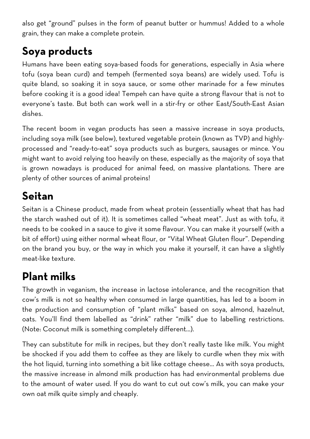also get "ground" pulses in the form of peanut butter or hummus! Added to a whole grain, they can make a complete protein.

#### **Soya products**

Humans have been eating soya-based foods for generations, especially in Asia where tofu (soya bean curd) and tempeh (fermented soya beans) are widely used. Tofu is quite bland, so soaking it in soya sauce, or some other marinade for a few minutes before cooking it is a good idea! Tempeh can have quite a strong flavour that is not to everyone's taste. But both can work well in a stir-fry or other East/South-East Asian dishes.

The recent boom in vegan products has seen a massive increase in soya products, including soya milk (see below), textured vegetable protein (known as TVP) and highlyprocessed and "ready-to-eat" soya products such as burgers, sausages or mince. You might want to avoid relying too heavily on these, especially as the majority of soya that is grown nowadays is produced for animal feed, on massive plantations. There are plenty of other sources of animal proteins!

#### **Seitan**

Seitan is a Chinese product, made from wheat protein (essentially wheat that has had the starch washed out of it). It is sometimes called "wheat meat". Just as with tofu, it needs to be cooked in a sauce to give it some flavour. You can make it yourself (with a bit of effort) using either normal wheat flour, or "Vital Wheat Gluten flour". Depending on the brand you buy, or the way in which you make it yourself, it can have a slightly meat-like texture.

#### **Plant milks**

The growth in veganism, the increase in lactose intolerance, and the recognition that cow's milk is not so healthy when consumed in large quantities, has led to a boom in the production and consumption of "plant milks" based on soya, almond, hazelnut, oats. You'll find them labelled as "drink" rather "milk" due to labelling restrictions. (Note: Coconut milk is something completely different...).

They can substitute for milk in recipes, but they don't really taste like milk. You might be shocked if you add them to coffee as they are likely to curdle when they mix with the hot liquid, turning into something a bit like cottage cheese... As with soya products, the massive increase in almond milk production has had environmental problems due to the amount of water used. If you do want to cut out cow's milk, you can make your own oat milk quite simply and cheaply.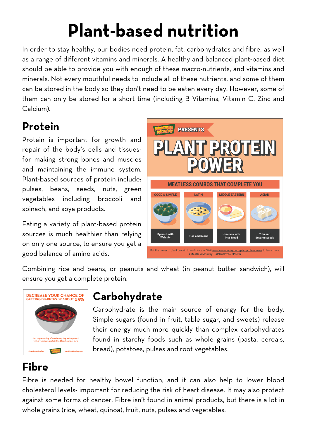# **Plant-based nutrition**

In order to stay healthy, our bodies need protein, fat, carbohydrates and fibre, as well as a range of different vitamins and minerals. A healthy and balanced plant-based diet should be able to provide you with enough of these macro-nutrients, and vitamins and minerals. Not every mouthful needs to include all of these nutrients, and some of them can be stored in the body so they don't need to be eaten every day. However, some of them can only be stored for a short time (including B Vitamins, Vitamin C, Zinc and Calcium).

# **Protein**

Protein is important for growth and repair of the body's cells and tissuesfor making strong bones and muscles and maintaining the immune system. Plant-based sources of protein include: pulses, beans, seeds, nuts, green vegetables including broccoli and spinach, and soya products.

Eating a variety of plant-based protein sources is much healthier than relying on only one source, to ensure you get a good balance of amino acids.



Combining rice and beans, or peanuts and wheat (in peanut butter sandwich), will ensure you get a complete protein.



#### **Carbohydrate**

Carbohydrate is the main source of energy for the body. Simple sugars (found in fruit, table sugar, and sweets) release their energy much more quickly than complex carbohydrates found in starchy foods such as whole grains (pasta, cereals, bread), potatoes, pulses and root vegetables.

### **Fibre**

Fibre is needed for healthy bowel function, and it can also help to lower blood cholesterol levels- important for reducing the risk of heart disease. It may also protect against some forms of cancer. Fibre isn't found in animal products, but there is a lot in whole grains (rice, wheat, quinoa), fruit, nuts, pulses and vegetables.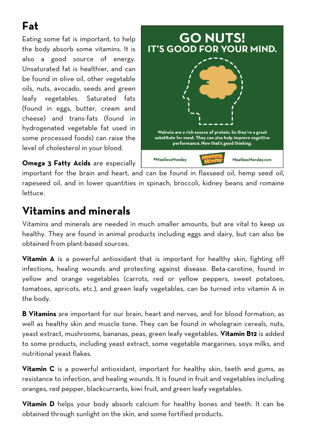# **Fat**

Eating some fat is important, to help the body absorb some vitamins. It is also a good source of energy. Unsaturated fat is healthier, and can be found in olive oil, other vegetable oils, nuts, avocado, seeds and green leafy vegetables. Saturated fats (found in eggs, butter, cream and cheese) and trans-fats (found in hydrogenated vegetable fat used in some processed foods) can raise the level of cholesterol in your blood.

**GO NUTS! IT'S GOOD FOR YOUR MIND.** Walnuts are a rich source of protein. So they're a great substitute for meat. They can also help improve cognitive performance. Now that's good thinking. #MeatlessMonday MeatlessMonday.com

**Omega 3 Fatty Acids** are especially

important for the brain and heart, and can be found in flaxseed oil, hemp seed oil, rapeseed oil, and in lower quantities in spinach, broccoli, kidney beans and romaine lettuce.

#### **Vitamins and minerals**

Vitamins and minerals are needed in much smaller amounts, but are vital to keep us healthy. They are found in animal products including eggs and dairy, but can also be obtained from plant-based sources.

**Vitamin A** is a powerful antioxidant that is important for healthy skin, fighting off infections, healing wounds and protecting against disease. Beta-carotine, found in yellow and orange vegetables (carrots, red or yellow peppers, sweet potatoes, tomatoes, apricots, etc.), and green leafy vegetables, can be turned into vitamin A in the body.

**B Vitamins** are important for our brain, heart and nerves, and for blood formation, as well as healthy skin and muscle tone. They can be found in wholegrain cereals, nuts, yeast extract, mushrooms, bananas, peas, green leafy vegetables. **Vitamin B12** is added to some products, including yeast extract, some vegetable margarines, soya milks, and nutritional yeast flakes.

**Vitamin C** is a powerful antioxidant, important for healthy skin, teeth and gums, as resistance to infection, and healing wounds. It is found in fruit and vegetables including oranges, red pepper, blackcurrants, kiwi fruit, and green leafy vegetables.

**Vitamin D** helps your body absorb calcium for healthy bones and teeth. It can be obtained through sunlight on the skin, and some fortified products.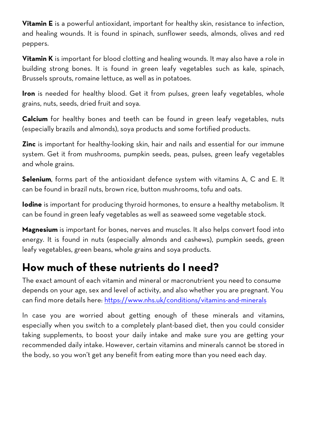**Vitamin E** is a powerful antioxidant, important for healthy skin, resistance to infection, and healing wounds. It is found in spinach, sunflower seeds, almonds, olives and red peppers.

**Vitamin K** is important for blood clotting and healing wounds. It may also have a role in building strong bones. It is found in green leafy vegetables such as kale, spinach, Brussels sprouts, romaine lettuce, as well as in potatoes.

**Iron** is needed for healthy blood. Get it from pulses, green leafy vegetables, whole grains, nuts, seeds, dried fruit and soya.

**Calcium** for healthy bones and teeth can be found in green leafy vegetables, nuts (especially brazils and almonds), soya products and some fortified products.

**Zinc** is important for healthy-looking skin, hair and nails and essential for our immune system. Get it from mushrooms, pumpkin seeds, peas, pulses, green leafy vegetables and whole grains.

**Selenium**, forms part of the antioxidant defence system with vitamins A, C and E. It can be found in brazil nuts, brown rice, button mushrooms, tofu and oats.

**Iodine** is important for producing thyroid hormones, to ensure a healthy metabolism. It can be found in green leafy vegetables as well as seaweed some vegetable stock.

**Magnesium** is important for bones, nerves and muscles. It also helps convert food into energy. It is found in nuts (especially almonds and cashews), pumpkin seeds, green leafy vegetables, green beans, whole grains and soya products.

#### **How much of these nutrients do I need?**

The exact amount of each vitamin and mineral or macronutrient you need to consume depends on your age, sex and level of activity, and also whether you are pregnant. You can find more details here: https://www.nhs.uk/conditions/vitamins-and-minerals

In case you are worried about getting enough of these minerals and vitamins, especially when you switch to a completely plant-based diet, then you could consider taking supplements, to boost your daily intake and make sure you are getting your recommended daily intake. However, certain vitamins and minerals cannot be stored in the body, so you won't get any benefit from eating more than you need each day.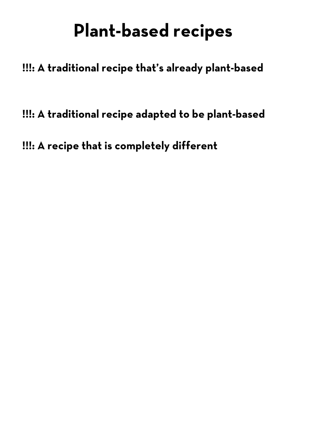# **Plant-based recipes**

**!!!: A traditional recipe that's already plant-based** 

**!!!: A traditional recipe adapted to be plant-based**

**!!!: A recipe that is completely different**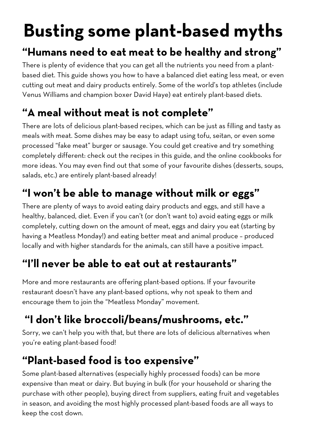# **Busting some plant-based myths**

## **"Humans need to eat meat to be healthy and strong"**

There is plenty of evidence that you can get all the nutrients you need from a plantbased diet. This guide shows you how to have a balanced diet eating less meat, or even cutting out meat and dairy products entirely. Some of the world's top athletes (include Venus Williams and champion boxer David Haye) eat entirely plant-based diets.

### **"A meal without meat is not complete"**

There are lots of delicious plant-based recipes, which can be just as filling and tasty as meals with meat. Some dishes may be easy to adapt using tofu, seitan, or even some processed "fake meat" burger or sausage. You could get creative and try something completely different: check out the recipes in this guide, and the online cookbooks for more ideas. You may even find out that some of your favourite dishes (desserts, soups, salads, etc.) are entirely plant-based already!

### **"I won't be able to manage without milk or eggs"**

There are plenty of ways to avoid eating dairy products and eggs, and still have a healthy, balanced, diet. Even if you can't (or don't want to) avoid eating eggs or milk completely, cutting down on the amount of meat, eggs and dairy you eat (starting by having a Meatless Monday!) and eating better meat and animal produce – produced locally and with higher standards for the animals, can still have a positive impact.

## **"I'll never be able to eat out at restaurants"**

More and more restaurants are offering plant-based options. If your favourite restaurant doesn't have any plant-based options, why not speak to them and encourage them to join the "Meatless Monday" movement.

# **"I don't like broccoli/beans/mushrooms, etc."**

Sorry, we can't help you with that, but there are lots of delicious alternatives when you're eating plant-based food!

### **"Plant-based food is too expensive"**

Some plant-based alternatives (especially highly processed foods) can be more expensive than meat or dairy. But buying in bulk (for your household or sharing the purchase with other people), buying direct from suppliers, eating fruit and vegetables in season, and avoiding the most highly processed plant-based foods are all ways to keep the cost down.